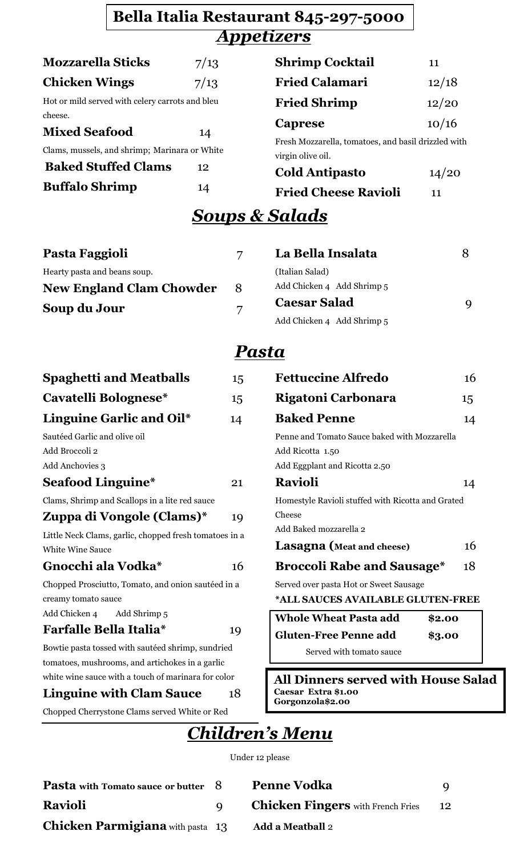### *Appetizers* **Bella Italia Restaurant 845-297-5000**

| <b>Mozzarella Sticks</b>                        | 7/13 | <b>Shrimp Cocktail</b>                                                   | 11    |
|-------------------------------------------------|------|--------------------------------------------------------------------------|-------|
| <b>Chicken Wings</b>                            | 7/13 | <b>Fried Calamari</b>                                                    | 12/18 |
| Hot or mild served with celery carrots and bleu |      | <b>Fried Shrimp</b>                                                      | 12/20 |
| cheese.                                         |      |                                                                          | 10/16 |
| <b>Mixed Seafood</b>                            | 14   | Caprese                                                                  |       |
| Clams, mussels, and shrimp; Marinara or White   |      | Fresh Mozzarella, tomatoes, and basil drizzled with<br>virgin olive oil. |       |
| <b>Baked Stuffed Clams</b>                      | 12   | <b>Cold Antipasto</b>                                                    | 14/20 |
| <b>Buffalo Shrimp</b>                           | 14   | <b>Fried Cheese Ravioli</b>                                              | 11    |

## *Soups & Salads*

| Pasta Faggioli                  |   | La Bella Insalata          | 8 |
|---------------------------------|---|----------------------------|---|
| Hearty pasta and beans soup.    |   | (Italian Salad)            |   |
| <b>New England Clam Chowder</b> | 8 | Add Chicken 4 Add Shrimp 5 |   |
| Soup du Jour                    | 7 | <b>Caesar Salad</b>        | 9 |
|                                 |   | Add Chicken 4 Add Shrimp 5 |   |

### *Pasta*

| <b>Spaghetti and Meatballs</b>                         | 15 |
|--------------------------------------------------------|----|
| Cavatelli Bolognese*                                   | 15 |
| Linguine Garlic and Oil*                               | 14 |
| Sautéed Garlic and olive oil                           |    |
| Add Broccoli 2                                         |    |
| Add Anchovies 3                                        |    |
| <b>Seafood Linguine*</b>                               | 21 |
| Clams, Shrimp and Scallops in a lite red sauce         |    |
| Zuppa di Vongole (Clams)*                              | 19 |
| Little Neck Clams, garlic, chopped fresh tomatoes in a |    |
| <b>White Wine Sauce</b>                                |    |
| Gnocchi ala Vodka*                                     | 16 |
| Chopped Prosciutto, Tomato, and onion sautéed in a     |    |
| creamy tomato sauce                                    |    |
| Add Chicken 4<br>Add Shrimp 5                          |    |
| <b>Farfalle Bella Italia*</b>                          | 19 |
| Bowtie pasta tossed with sautéed shrimp, sundried      |    |
| tomatoes, mushrooms, and artichokes in a garlic        |    |
| white wine sauce with a touch of marinara for color    |    |
| <b>Linguine with Clam Sauce</b>                        | 18 |
| Chopped Cherrystone Clams served White or Red          |    |

| <b>Fettuccine Alfredo</b>                                                                         | 16 |
|---------------------------------------------------------------------------------------------------|----|
| Rigatoni Carbonara                                                                                | 15 |
| <b>Baked Penne</b>                                                                                | 14 |
| Penne and Tomato Sauce baked with Mozzarella<br>Add Ricotta 1.50<br>Add Eggplant and Ricotta 2.50 |    |
| <b>Ravioli</b>                                                                                    | 14 |
| Homestyle Ravioli stuffed with Ricotta and Grated<br>Cheese                                       |    |
| Add Baked mozzarella 2<br>Lasagna (Meat and cheese)                                               | 16 |
| <b>Broccoli Rabe and Sausage*</b>                                                                 | 18 |
| Served over pasta Hot or Sweet Sausage<br>*ALL SAUCES AVAILABLE GLUTEN-FREE                       |    |

| <b>Whole Wheat Pasta add</b> | \$2.00 |
|------------------------------|--------|
| <b>Gluten-Free Penne add</b> | \$3.00 |
| Served with tomato sauce     |        |

**All Dinners served with House Salad Caesar Extra \$1.00 Gorgonzola\$2.00**

# *Children's Menu*

Under 12 please

| <b>Pasta</b> with Tomato sauce or butter 8 | <b>Penne Vodka</b>                       |    |
|--------------------------------------------|------------------------------------------|----|
| <b>Ravioli</b>                             | <b>Chicken Fingers</b> with French Fries | 12 |
| <b>Chicken Parmigiana</b> with pasta 13    | <b>Add a Meatball 2</b>                  |    |